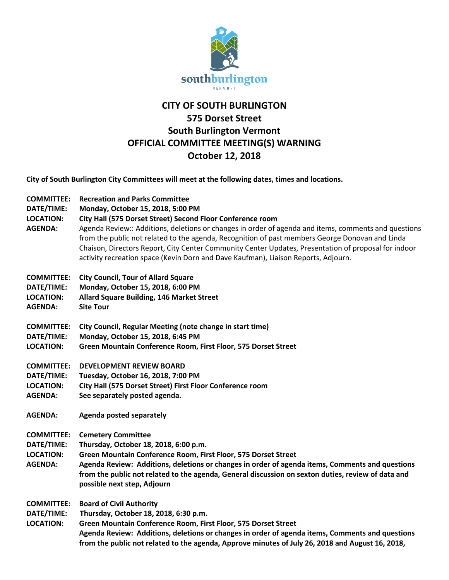

## **CITY OF SOUTH BURLINGTON 575 Dorset Street South Burlington Vermont OFFICIAL COMMITTEE MEETING(S) WARNING October 12, 2018**

**City of South Burlington City Committees will meet at the following dates, times and locations.** 

- **COMMITTEE: Recreation and Parks Committee**
- **DATE/TIME: Monday, October 15, 2018, 5:00 PM**
- **LOCATION: City Hall (575 Dorset Street) Second Floor Conference room**
- **AGENDA:** Agenda Review:: Additions, deletions or changes in order of agenda and items, comments and questions from the public not related to the agenda, Recognition of past members George Donovan and Linda Chaison, Directors Report, City Center Community Center Updates, Presentation of proposal for indoor activity recreation space (Kevin Dorn and Dave Kaufman), Liaison Reports, Adjourn.
- **COMMITTEE: City Council, Tour of Allard Square**
- **DATE/TIME: Monday, October 15, 2018, 6:00 PM**
- **LOCATION: Allard Square Building, 146 Market Street**
- **AGENDA: Site Tour**
- **COMMITTEE: City Council, Regular Meeting (note change in start time)**
- **DATE/TIME: Monday, October 15, 2018, 6:45 PM**
- **LOCATION: Green Mountain Conference Room, First Floor, 575 Dorset Street**
- **COMMITTEE: DEVELOPMENT REVIEW BOARD**
- **DATE/TIME: Tuesday, October 16, 2018, 7:00 PM**
- **LOCATION: City Hall (575 Dorset Street) First Floor Conference room**
- **AGENDA: See separately posted agenda.**
- **AGENDA: Agenda posted separately**
- **COMMITTEE: Cemetery Committee**
- **DATE/TIME: Thursday, October 18, 2018, 6:00 p.m.**
- **LOCATION: Green Mountain Conference Room, First Floor, 575 Dorset Street**
- **AGENDA: Agenda Review: Additions, deletions or changes in order of agenda items, Comments and questions from the public not related to the agenda, General discussion on sexton duties, review of data and possible next step, Adjourn**
- **COMMITTEE: Board of Civil Authority**
- **DATE/TIME: Thursday, October 18, 2018, 6:30 p.m.**
- **LOCATION: Green Mountain Conference Room, First Floor, 575 Dorset Street Agenda Review: Additions, deletions or changes in order of agenda items, Comments and questions from the public not related to the agenda, Approve minutes of July 26, 2018 and August 16, 2018,**